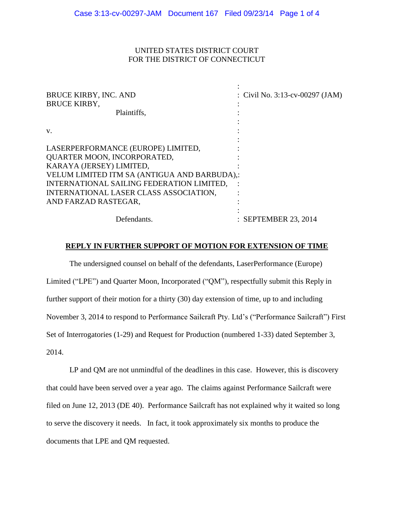## UNITED STATES DISTRICT COURT FOR THE DISTRICT OF CONNECTICUT

| <b>BRUCE KIRBY, INC. AND</b><br><b>BRUCE KIRBY,</b><br>Plaintiffs.                                                                                                                                                                                           | : Civil No. 3:13-cv-00297 (JAM) |
|--------------------------------------------------------------------------------------------------------------------------------------------------------------------------------------------------------------------------------------------------------------|---------------------------------|
| V.                                                                                                                                                                                                                                                           |                                 |
| LASERPERFORMANCE (EUROPE) LIMITED,<br>QUARTER MOON, INCORPORATED,<br>KARAYA (JERSEY) LIMITED,<br>VELUM LIMITED ITM SA (ANTIGUA AND BARBUDA),:<br>INTERNATIONAL SAILING FEDERATION LIMITED,<br>INTERNATIONAL LASER CLASS ASSOCIATION,<br>AND FARZAD RASTEGAR, |                                 |
| Defendants.                                                                                                                                                                                                                                                  | : SEPTEMBER 23, 2014            |

### **REPLY IN FURTHER SUPPORT OF MOTION FOR EXTENSION OF TIME**

The undersigned counsel on behalf of the defendants, LaserPerformance (Europe) Limited ("LPE") and Quarter Moon, Incorporated ("QM"), respectfully submit this Reply in further support of their motion for a thirty (30) day extension of time, up to and including November 3, 2014 to respond to Performance Sailcraft Pty. Ltd's ("Performance Sailcraft") First Set of Interrogatories (1-29) and Request for Production (numbered 1-33) dated September 3, 2014.

LP and QM are not unmindful of the deadlines in this case. However, this is discovery that could have been served over a year ago. The claims against Performance Sailcraft were filed on June 12, 2013 (DE 40). Performance Sailcraft has not explained why it waited so long to serve the discovery it needs. In fact, it took approximately six months to produce the documents that LPE and QM requested.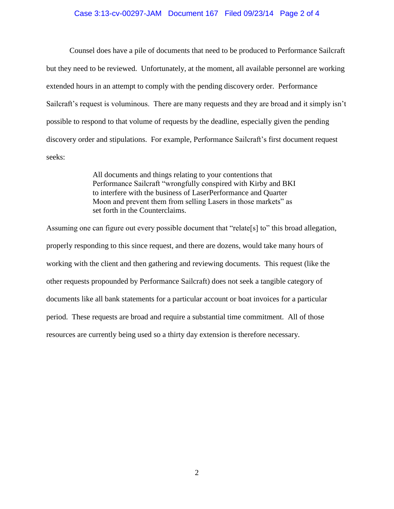#### Case 3:13-cv-00297-JAM Document 167 Filed 09/23/14 Page 2 of 4

Counsel does have a pile of documents that need to be produced to Performance Sailcraft but they need to be reviewed. Unfortunately, at the moment, all available personnel are working extended hours in an attempt to comply with the pending discovery order. Performance Sailcraft's request is voluminous. There are many requests and they are broad and it simply isn't possible to respond to that volume of requests by the deadline, especially given the pending discovery order and stipulations. For example, Performance Sailcraft's first document request seeks:

> All documents and things relating to your contentions that Performance Sailcraft "wrongfully conspired with Kirby and BKI to interfere with the business of LaserPerformance and Quarter Moon and prevent them from selling Lasers in those markets" as set forth in the Counterclaims.

Assuming one can figure out every possible document that "relate<sup>[s]</sup> to" this broad allegation, properly responding to this since request, and there are dozens, would take many hours of working with the client and then gathering and reviewing documents. This request (like the other requests propounded by Performance Sailcraft) does not seek a tangible category of documents like all bank statements for a particular account or boat invoices for a particular period. These requests are broad and require a substantial time commitment. All of those resources are currently being used so a thirty day extension is therefore necessary.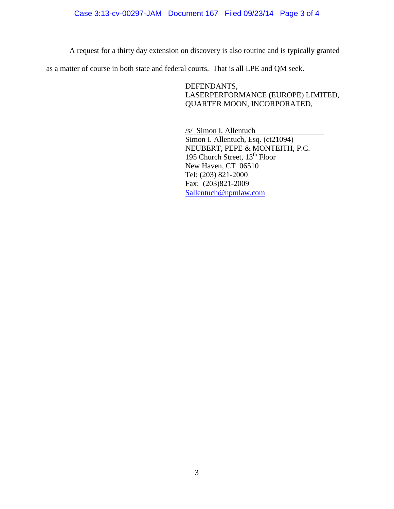### Case 3:13-cv-00297-JAM Document 167 Filed 09/23/14 Page 3 of 4

A request for a thirty day extension on discovery is also routine and is typically granted

as a matter of course in both state and federal courts. That is all LPE and QM seek.

DEFENDANTS, LASERPERFORMANCE (EUROPE) LIMITED, QUARTER MOON, INCORPORATED,

/s/ Simon I. Allentuch Simon I. Allentuch, Esq. (ct21094) NEUBERT, PEPE & MONTEITH, P.C. 195 Church Street, 13<sup>th</sup> Floor New Haven, CT 06510 Tel: (203) 821-2000 Fax: (203)821-2009 [Sallentuch@npmlaw.com](mailto:Sallentuch@npmlaw.com)